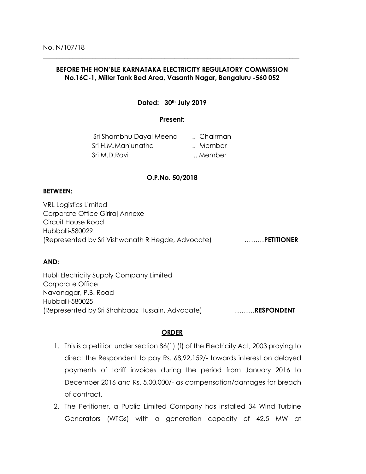# **BEFORE THE HON'BLE KARNATAKA ELECTRICITY REGULATORY COMMISSION No.16C-1, Miller Tank Bed Area, Vasanth Nagar, Bengaluru -560 052**

\_\_\_\_\_\_\_\_\_\_\_\_\_\_\_\_\_\_\_\_\_\_\_\_\_\_\_\_\_\_\_\_\_\_\_\_\_\_\_\_\_\_\_\_\_\_\_\_\_\_\_\_\_\_\_\_\_\_\_\_\_\_\_\_\_\_\_\_\_\_\_\_\_\_\_\_\_\_

## **Dated: 30th July 2019**

## **Present:**

| Sri Shambhu Dayal Meena | Chairman |
|-------------------------|----------|
| Sri H.M.Manjunatha      | Member   |
| Sri M.D.Ravi            | Member   |

### **O.P.No. 50/2018**

#### **BETWEEN:**

VRL Logistics Limited Corporate Office Giriraj Annexe Circuit House Road Hubballi-580029 (Represented by Sri Vishwanath R Hegde, Advocate) ………**PETITIONER**

## **AND:**

Hubli Electricity Supply Company Limited Corporate Office Navanagar, P.B. Road Hubballi-580025 (Represented by Sri Shahbaaz Hussain, Advocate) ………**RESPONDENT**

## **ORDER**

- 1. This is a petition under section 86(1) (f) of the Electricity Act, 2003 praying to direct the Respondent to pay Rs. 68,92,159/- towards interest on delayed payments of tariff invoices during the period from January 2016 to December 2016 and Rs. 5,00,000/- as compensation/damages for breach of contract.
- 2. The Petitioner, a Public Limited Company has installed 34 Wind Turbine Generators (WTGs) with a generation capacity of 42.5 MW at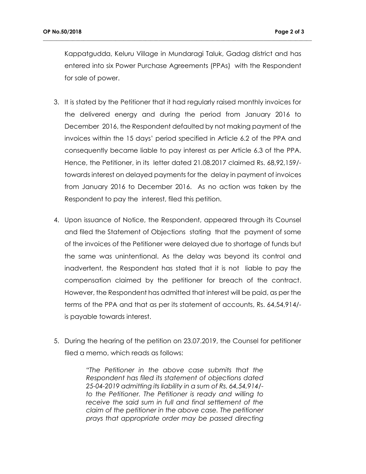Kappatgudda, Keluru Village in Mundaragi Taluk, Gadag district and has entered into six Power Purchase Agreements (PPAs) with the Respondent for sale of power.

**\_\_\_\_\_\_\_\_\_\_\_\_\_\_\_\_\_\_\_\_\_\_\_\_\_\_\_\_\_\_\_\_\_\_\_\_\_\_\_\_\_\_\_\_\_\_\_\_\_\_\_\_\_\_\_\_\_\_\_\_\_\_\_\_\_\_\_\_\_\_\_\_\_\_\_\_\_\_\_\_\_\_\_\_\_\_\_\_\_\_\_\_\_\_\_\_\_\_\_\_**

- 3. It is stated by the Petitioner that it had regularly raised monthly invoices for the delivered energy and during the period from January 2016 to December 2016, the Respondent defaulted by not making payment of the invoices within the 15 days' period specified in Article 6.2 of the PPA and consequently became liable to pay interest as per Article 6.3 of the PPA. Hence, the Petitioner, in its letter dated 21.08.2017 claimed Rs. 68,92,159/ towards interest on delayed payments for the delay in payment of invoices from January 2016 to December 2016. As no action was taken by the Respondent to pay the interest, filed this petition.
- 4. Upon issuance of Notice, the Respondent, appeared through its Counsel and filed the Statement of Objections stating that the payment of some of the invoices of the Petitioner were delayed due to shortage of funds but the same was unintentional. As the delay was beyond its control and inadvertent, the Respondent has stated that it is not liable to pay the compensation claimed by the petitioner for breach of the contract. However, the Respondent has admitted that interest will be paid, as per the terms of the PPA and that as per its statement of accounts, Rs. 64,54,914/ is payable towards interest.
- 5. During the hearing of the petition on 23.07.2019, the Counsel for petitioner filed a memo, which reads as follows:

*"The Petitioner in the above case submits that the Respondent has filed its statement of objections dated 25-04-2019 admitting its liability in a sum of Rs. 64,54,914/ to the Petitioner. The Petitioner is ready and willing to receive the said sum in full and final settlement of the claim of the petitioner in the above case. The petitioner prays that appropriate order may be passed directing*